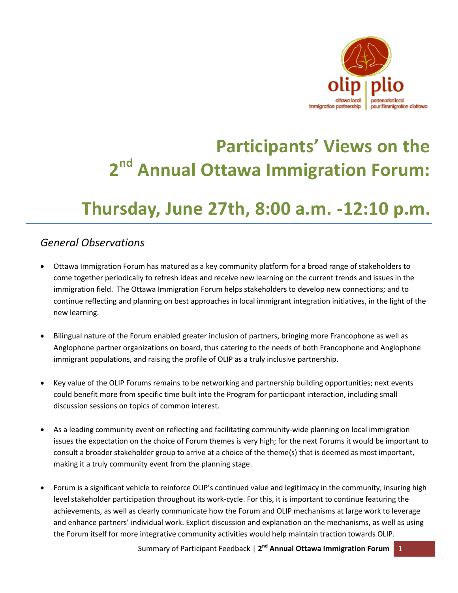

# **Participants' Views on the 2 nd Annual Ottawa Immigration Forum:**

# **Thursday, June 27th, 8:00 a.m. -12:10 p.m.**

# *General Observations*

- Ottawa Immigration Forum has matured as a key community platform for a broad range of stakeholders to come together periodically to refresh ideas and receive new learning on the current trends and issues in the immigration field. The Ottawa Immigration Forum helps stakeholders to develop new connections; and to continue reflecting and planning on best approaches in local immigrant integration initiatives, in the light of the new learning.
- Bilingual nature of the Forum enabled greater inclusion of partners, bringing more Francophone as well as Anglophone partner organizations on board, thus catering to the needs of both Francophone and Anglophone immigrant populations, and raising the profile of OLIP as a truly inclusive partnership.
- Key value of the OLIP Forums remains to be networking and partnership building opportunities; next events could benefit more from specific time built into the Program for participant interaction, including small discussion sessions on topics of common interest.
- As a leading community event on reflecting and facilitating community-wide planning on local immigration issues the expectation on the choice of Forum themes is very high; for the next Forums it would be important to consult a broader stakeholder group to arrive at a choice of the theme(s) that is deemed as most important, making it a truly community event from the planning stage.
- Forum is a significant vehicle to reinforce OLIP's continued value and legitimacy in the community, insuring high level stakeholder participation throughout its work-cycle. For this, it is important to continue featuring the achievements, as well as clearly communicate how the Forum and OLIP mechanisms at large work to leverage and enhance partners' individual work. Explicit discussion and explanation on the mechanisms, as well as using the Forum itself for more integrative community activities would help maintain traction towards OLIP.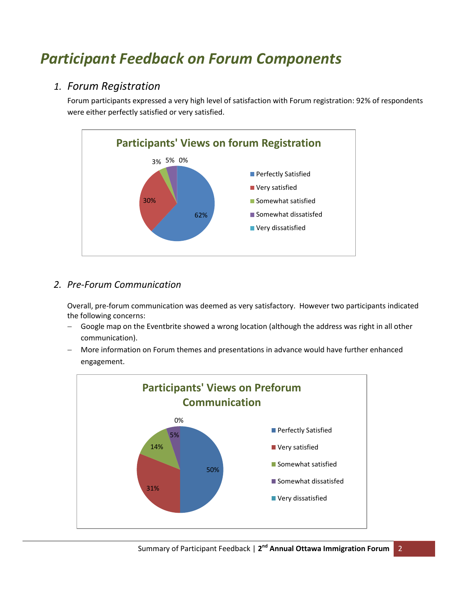# *Participant Feedback on Forum Components*

# *1. Forum Registration*

Forum participants expressed a very high level of satisfaction with Forum registration: 92% of respondents were either perfectly satisfied or very satisfied.



# *2. Pre-Forum Communication*

Overall, pre-forum communication was deemed as very satisfactory. However two participants indicated the following concerns:

- Google map on the Eventbrite showed a wrong location (although the address was right in all other communication).
- More information on Forum themes and presentations in advance would have further enhanced engagement.

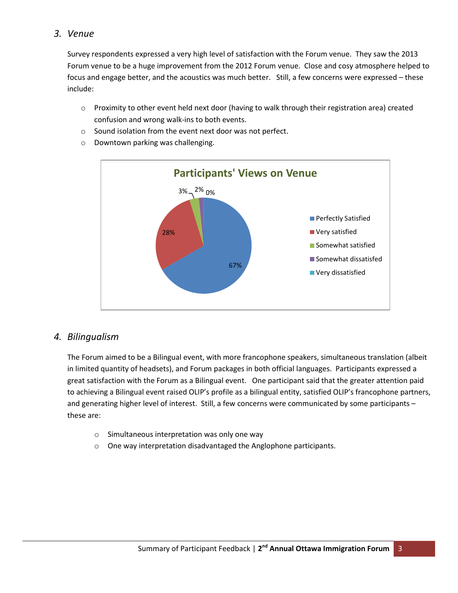#### *3. Venue*

Survey respondents expressed a very high level of satisfaction with the Forum venue. They saw the 2013 Forum venue to be a huge improvement from the 2012 Forum venue. Close and cosy atmosphere helped to focus and engage better, and the acoustics was much better. Still, a few concerns were expressed – these include:

- $\circ$  Proximity to other event held next door (having to walk through their registration area) created confusion and wrong walk-ins to both events.
- o Sound isolation from the event next door was not perfect.
- o Downtown parking was challenging.



#### *4. Bilingualism*

The Forum aimed to be a Bilingual event, with more francophone speakers, simultaneous translation (albeit in limited quantity of headsets), and Forum packages in both official languages. Participants expressed a great satisfaction with the Forum as a Bilingual event. One participant said that the greater attention paid to achieving a Bilingual event raised OLIP's profile as a bilingual entity, satisfied OLIP's francophone partners, and generating higher level of interest. Still, a few concerns were communicated by some participants – these are:

- o Simultaneous interpretation was only one way
- o One way interpretation disadvantaged the Anglophone participants.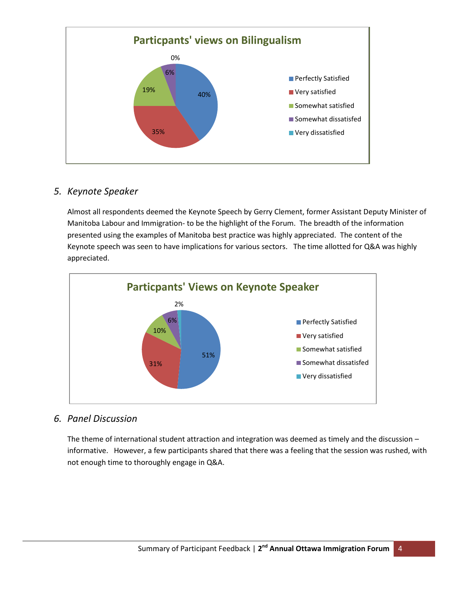

#### *5. Keynote Speaker*

Almost all respondents deemed the Keynote Speech by Gerry Clement, former Assistant Deputy Minister of Manitoba Labour and Immigration- to be the highlight of the Forum. The breadth of the information presented using the examples of Manitoba best practice was highly appreciated. The content of the Keynote speech was seen to have implications for various sectors. The time allotted for Q&A was highly appreciated.



#### *6. Panel Discussion*

The theme of international student attraction and integration was deemed as timely and the discussion – informative. However, a few participants shared that there was a feeling that the session was rushed, with not enough time to thoroughly engage in Q&A.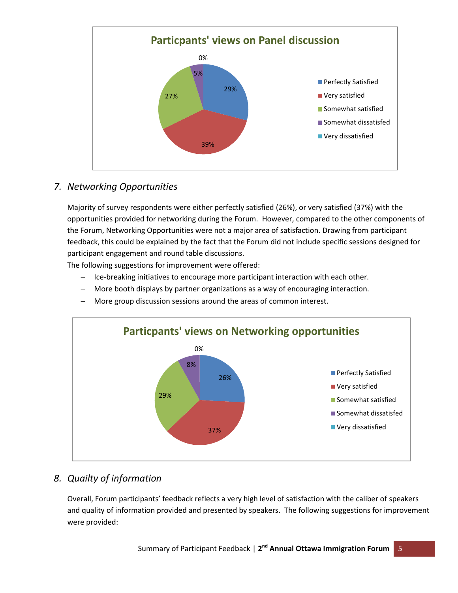

# *7. Networking Opportunities*

Majority of survey respondents were either perfectly satisfied (26%), or very satisfied (37%) with the opportunities provided for networking during the Forum. However, compared to the other components of the Forum, Networking Opportunities were not a major area of satisfaction. Drawing from participant feedback, this could be explained by the fact that the Forum did not include specific sessions designed for participant engagement and round table discussions.

The following suggestions for improvement were offered:

- Ice-breaking initiatives to encourage more participant interaction with each other.
- More booth displays by partner organizations as a way of encouraging interaction.
- More group discussion sessions around the areas of common interest.



# *8. Quailty of information*

Overall, Forum participants' feedback reflects a very high level of satisfaction with the caliber of speakers and quality of information provided and presented by speakers. The following suggestions for improvement were provided: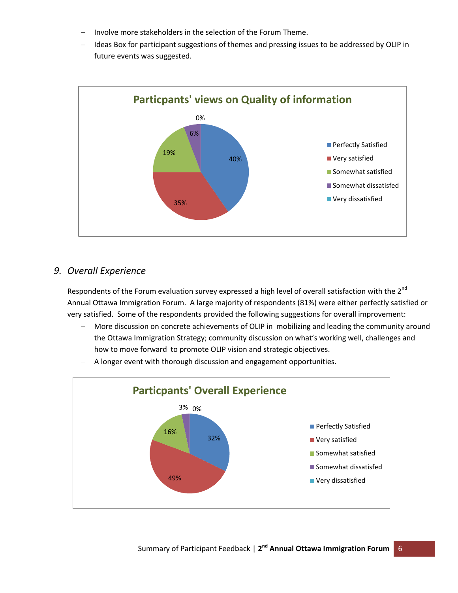- Involve more stakeholders in the selection of the Forum Theme.
- Ideas Box for participant suggestions of themes and pressing issues to be addressed by OLIP in future events was suggested.



#### *9. Overall Experience*

Respondents of the Forum evaluation survey expressed a high level of overall satisfaction with the  $2^{nd}$ Annual Ottawa Immigration Forum. A large majority of respondents (81%) were either perfectly satisfied or very satisfied. Some of the respondents provided the following suggestions for overall improvement:

 More discussion on concrete achievements of OLIP in mobilizing and leading the community around the Ottawa Immigration Strategy; community discussion on what's working well, challenges and how to move forward to promote OLIP vision and strategic objectives.



- A longer event with thorough discussion and engagement opportunities.